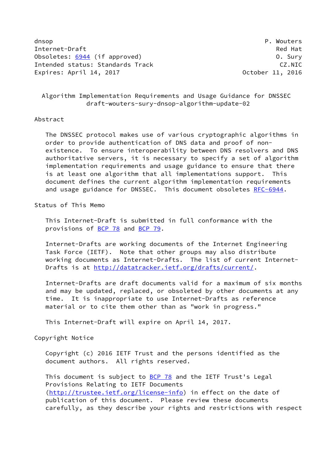dnsop **P. Wouters** Internet-Draft Red Hat Obsoletes: [6944](https://datatracker.ietf.org/doc/pdf/rfc6944) (if approved) 0. Sury Intended status: Standards Track CZ.NIC Expires: April 14, 2017 October 11, 2016

 Algorithm Implementation Requirements and Usage Guidance for DNSSEC draft-wouters-sury-dnsop-algorithm-update-02

### Abstract

 The DNSSEC protocol makes use of various cryptographic algorithms in order to provide authentication of DNS data and proof of non existence. To ensure interoperability between DNS resolvers and DNS authoritative servers, it is necessary to specify a set of algorithm implementation requirements and usage guidance to ensure that there is at least one algorithm that all implementations support. This document defines the current algorithm implementation requirements and usage guidance for DNSSEC. This document obsoletes [RFC-6944](https://datatracker.ietf.org/doc/pdf/rfc6944).

Status of This Memo

 This Internet-Draft is submitted in full conformance with the provisions of [BCP 78](https://datatracker.ietf.org/doc/pdf/bcp78) and [BCP 79](https://datatracker.ietf.org/doc/pdf/bcp79).

 Internet-Drafts are working documents of the Internet Engineering Task Force (IETF). Note that other groups may also distribute working documents as Internet-Drafts. The list of current Internet- Drafts is at<http://datatracker.ietf.org/drafts/current/>.

 Internet-Drafts are draft documents valid for a maximum of six months and may be updated, replaced, or obsoleted by other documents at any time. It is inappropriate to use Internet-Drafts as reference material or to cite them other than as "work in progress."

This Internet-Draft will expire on April 14, 2017.

Copyright Notice

 Copyright (c) 2016 IETF Trust and the persons identified as the document authors. All rights reserved.

This document is subject to **[BCP 78](https://datatracker.ietf.org/doc/pdf/bcp78)** and the IETF Trust's Legal Provisions Relating to IETF Documents [\(http://trustee.ietf.org/license-info](http://trustee.ietf.org/license-info)) in effect on the date of publication of this document. Please review these documents carefully, as they describe your rights and restrictions with respect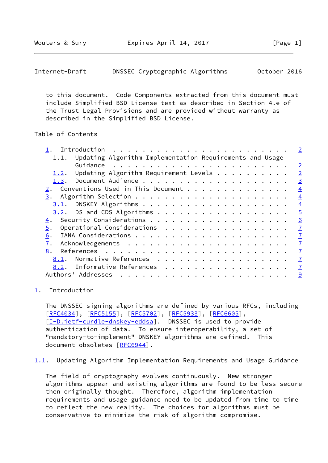<span id="page-1-1"></span>Internet-Draft DNSSEC Cryptographic Algorithms October 2016

 to this document. Code Components extracted from this document must include Simplified BSD License text as described in Section 4.e of the Trust Legal Provisions and are provided without warranty as described in the Simplified BSD License.

# Table of Contents

|                                                                                                 | $\overline{2}$ |
|-------------------------------------------------------------------------------------------------|----------------|
| 1.1. Updating Algorithm Implementation Requirements and Usage                                   |                |
|                                                                                                 | $\overline{2}$ |
| Updating Algorithm Requirement Levels $\cdot \cdot \cdot \cdot \cdot \cdot \cdot \cdot$<br>1.2. | $\overline{2}$ |
| 1.3.                                                                                            | $\overline{3}$ |
| Conventions Used in This Document                                                               | $\overline{4}$ |
|                                                                                                 | $\overline{4}$ |
|                                                                                                 | $\overline{4}$ |
| $3.2$ . DS and CDS Algorithms                                                                   | $\overline{5}$ |
| 4.                                                                                              | 6              |
| Operational Considerations<br>5.                                                                | $\overline{1}$ |
| 6.                                                                                              | $\overline{1}$ |
| 7.                                                                                              | $\overline{1}$ |
| 8.                                                                                              | $\overline{1}$ |
| Normative References<br>8.1.                                                                    | $\overline{1}$ |
| 8.2. Informative References                                                                     | $\overline{1}$ |
| Authors' Addresses                                                                              | 9              |
|                                                                                                 |                |

#### <span id="page-1-0"></span>[1](#page-1-0). Introduction

 The DNSSEC signing algorithms are defined by various RFCs, including [\[RFC4034](https://datatracker.ietf.org/doc/pdf/rfc4034)], [[RFC5155\]](https://datatracker.ietf.org/doc/pdf/rfc5155), [[RFC5702](https://datatracker.ietf.org/doc/pdf/rfc5702)], [\[RFC5933](https://datatracker.ietf.org/doc/pdf/rfc5933)], [\[RFC6605](https://datatracker.ietf.org/doc/pdf/rfc6605)], [\[I-D.ietf-curdle-dnskey-eddsa](#page-8-0)]. DNSSEC is used to provide authentication of data. To ensure interoperability, a set of "mandatory-to-implement" DNSKEY algorithms are defined. This document obsoletes [[RFC6944\]](https://datatracker.ietf.org/doc/pdf/rfc6944).

<span id="page-1-2"></span>[1.1](#page-1-2). Updating Algorithm Implementation Requirements and Usage Guidance

 The field of cryptography evolves continuously. New stronger algorithms appear and existing algorithms are found to be less secure then originally thought. Therefore, algorithm implementation requirements and usage guidance need to be updated from time to time to reflect the new reality. The choices for algorithms must be conservative to minimize the risk of algorithm compromise.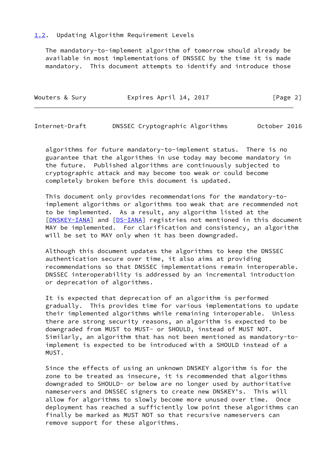### <span id="page-2-0"></span>[1.2](#page-2-0). Updating Algorithm Requirement Levels

 The mandatory-to-implement algorithm of tomorrow should already be available in most implementations of DNSSEC by the time it is made mandatory. This document attempts to identify and introduce those

| Wouters & Sury | Expires April 14, 2017 | [Page 2] |
|----------------|------------------------|----------|
|                |                        |          |

<span id="page-2-1"></span>Internet-Draft DNSSEC Cryptographic Algorithms October 2016

 algorithms for future mandatory-to-implement status. There is no guarantee that the algorithms in use today may become mandatory in the future. Published algorithms are continuously subjected to cryptographic attack and may become too weak or could become completely broken before this document is updated.

 This document only provides recommendations for the mandatory-to implement algorithms or algorithms too weak that are recommended not to be implemented. As a result, any algorithm listed at the [\[DNSKEY-IANA](#page-8-1)] and [[DS-IANA](#page-8-2)] registries not mentioned in this document MAY be implemented. For clarification and consistency, an algorithm will be set to MAY only when it has been downgraded.

 Although this document updates the algorithms to keep the DNSSEC authentication secure over time, it also aims at providing recommendations so that DNSSEC implementations remain interoperable. DNSSEC interoperability is addressed by an incremental introduction or deprecation of algorithms.

 It is expected that deprecation of an algorithm is performed gradually. This provides time for various implementations to update their implemented algorithms while remaining interoperable. Unless there are strong security reasons, an algorithm is expected to be downgraded from MUST to MUST- or SHOULD, instead of MUST NOT. Similarly, an algorithm that has not been mentioned as mandatory-to implement is expected to be introduced with a SHOULD instead of a MUST.

 Since the effects of using an unknown DNSKEY algorithm is for the zone to be treated as insecure, it is recommended that algorithms downgraded to SHOULD- or below are no longer used by authoritative nameservers and DNSSEC signers to create new DNSKEY's. This will allow for algorithms to slowly become more unused over time. Once deployment has reached a sufficiently low point these algorithms can finally be marked as MUST NOT so that recursive nameservers can remove support for these algorithms.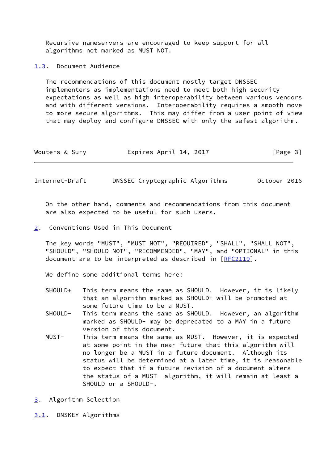Recursive nameservers are encouraged to keep support for all algorithms not marked as MUST NOT.

<span id="page-3-0"></span>[1.3](#page-3-0). Document Audience

 The recommendations of this document mostly target DNSSEC implementers as implementations need to meet both high security expectations as well as high interoperability between various vendors and with different versions. Interoperability requires a smooth move to more secure algorithms. This may differ from a user point of view that may deploy and configure DNSSEC with only the safest algorithm.

| Expires April 14, 2017<br>Wouters & Sury | [Page 3] |
|------------------------------------------|----------|
|------------------------------------------|----------|

<span id="page-3-2"></span>Internet-Draft DNSSEC Cryptographic Algorithms October 2016

 On the other hand, comments and recommendations from this document are also expected to be useful for such users.

<span id="page-3-1"></span>[2](#page-3-1). Conventions Used in This Document

 The key words "MUST", "MUST NOT", "REQUIRED", "SHALL", "SHALL NOT", "SHOULD", "SHOULD NOT", "RECOMMENDED", "MAY", and "OPTIONAL" in this document are to be interpreted as described in [\[RFC2119](https://datatracker.ietf.org/doc/pdf/rfc2119)].

We define some additional terms here:

- SHOULD+ This term means the same as SHOULD. However, it is likely that an algorithm marked as SHOULD+ will be promoted at some future time to be a MUST.
- SHOULD- This term means the same as SHOULD. However, an algorithm marked as SHOULD- may be deprecated to a MAY in a future version of this document.
- MUST- This term means the same as MUST. However, it is expected at some point in the near future that this algorithm will no longer be a MUST in a future document. Although its status will be determined at a later time, it is reasonable to expect that if a future revision of a document alters the status of a MUST- algorithm, it will remain at least a SHOULD or a SHOULD-.
- <span id="page-3-3"></span>[3](#page-3-3). Algorithm Selection
- <span id="page-3-4"></span>[3.1](#page-3-4). DNSKEY Algorithms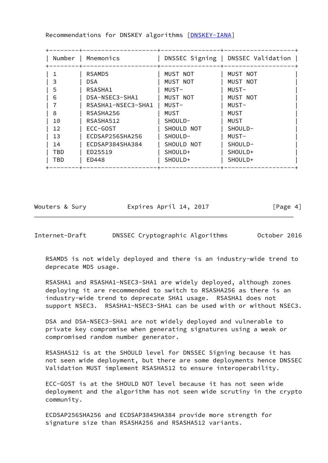| Number | Mnemonics          |            | DNSSEC Signing   DNSSEC Validation |
|--------|--------------------|------------|------------------------------------|
|        | RSAMD5             | MUST NOT   | MUST NOT                           |
| 3      | DSA.               | MUST NOT   | MUST NOT                           |
| 5      | RSASHA1            | MUST-      | MUST-                              |
| 6      | DSA-NSEC3-SHA1     | MUST NOT   | MUST NOT                           |
|        | RSASHA1-NSEC3-SHA1 | MUST-      | MUST-                              |
| 8      | RSASHA256          | MUST       | MUST                               |
| 10     | RSASHA512          | SHOULD-    | MUST                               |
| 12     | ECC-GOST           | SHOULD NOT | SHOULD-                            |
| 13     | ECDSAP256SHA256    | SHOULD-    | MUST-                              |
| 14     | ECDSAP384SHA384    | SHOULD NOT | SHOULD-                            |
| TBD    | ED25519            | SHOULD+    | SHOULD+                            |
| TBD    | ED448              | SHOULD+    | SHOULD+                            |

Recommendations for DNSKEY algorithms [[DNSKEY-IANA](#page-8-1)]

Wouters & Sury **Expires April 14, 2017** [Page 4]

<span id="page-4-0"></span>Internet-Draft DNSSEC Cryptographic Algorithms October 2016

 RSAMD5 is not widely deployed and there is an industry-wide trend to deprecate MD5 usage.

 RSASHA1 and RSASHA1-NSEC3-SHA1 are widely deployed, although zones deploying it are recommended to switch to RSASHA256 as there is an industry-wide trend to deprecate SHA1 usage. RSASHA1 does not support NSEC3. RSASHA1-NSEC3-SHA1 can be used with or without NSEC3.

 DSA and DSA-NSEC3-SHA1 are not widely deployed and vulnerable to private key compromise when generating signatures using a weak or compromised random number generator.

 RSASHA512 is at the SHOULD level for DNSSEC Signing because it has not seen wide deployment, but there are some deployments hence DNSSEC Validation MUST implement RSASHA512 to ensure interoperability.

 ECC-GOST is at the SHOULD NOT level because it has not seen wide deployment and the algorithm has not seen wide scrutiny in the crypto community.

 ECDSAP256SHA256 and ECDSAP384SHA384 provide more strength for signature size than RSASHA256 and RSASHA512 variants.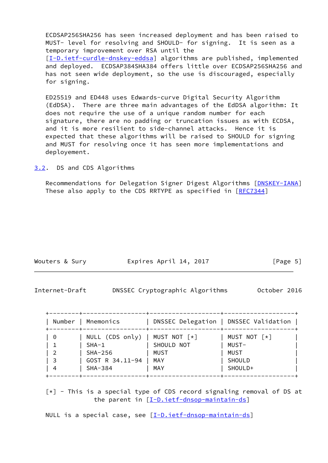ECDSAP256SHA256 has seen increased deployment and has been raised to MUST- level for resolving and SHOULD- for signing. It is seen as a temporary improvement over RSA until the [\[I-D.ietf-curdle-dnskey-eddsa](#page-8-0)] algorithms are published, implemented and deployed. ECDSAP384SHA384 offers little over ECDSAP256SHA256 and has not seen wide deployment, so the use is discouraged, especially for signing.

 ED25519 and ED448 uses Edwards-curve Digital Security Algorithm (EdDSA). There are three main advantages of the EdDSA algorithm: It does not require the use of a unique random number for each signature, there are no padding or truncation issues as with ECDSA, and it is more resilient to side-channel attacks. Hence it is expected that these algorithms will be raised to SHOULD for signing and MUST for resolving once it has seen more implementations and deployement.

<span id="page-5-0"></span>[3.2](#page-5-0). DS and CDS Algorithms

 Recommendations for Delegation Signer Digest Algorithms [\[DNSKEY-IANA](#page-8-1)] These also apply to the CDS RRTYPE as specified in [[RFC7344\]](https://datatracker.ietf.org/doc/pdf/rfc7344)

| Expires April 14, 2017<br>Wouters & Sury | [Page 5] |
|------------------------------------------|----------|
|------------------------------------------|----------|

<span id="page-5-1"></span>

| Internet-Draft |  | DNSSEC Cryptographic Algorithms |  | October 2016 |  |
|----------------|--|---------------------------------|--|--------------|--|
|----------------|--|---------------------------------|--|--------------|--|

| Number | Mnemonics                                    |             | DNSSEC Delegation   DNSSEC Validation |
|--------|----------------------------------------------|-------------|---------------------------------------|
| 0      | NULL (CDS only)   MUST NOT $\lceil * \rceil$ |             | MUST NOT $\lceil * \rceil$            |
|        | $SHA-1$                                      | SHOULD NOT  | MUST-                                 |
| - 2    | SHA-256                                      | <b>MUST</b> | <b>MUST</b>                           |
| - 3    | GOST R 34.11-94                              | MAY         | SHOULD                                |
| -4     | SHA-384                                      | MAY         | SHOULD+                               |

 $\lceil * \rceil$  - This is a special type of CDS record signaling removal of DS at the parent in  $[I-D.iett-dnsop-mailntain-ds]$ 

NULL is a special case, see [\[I-D.ietf-dnsop-maintain-ds\]](#page-8-3)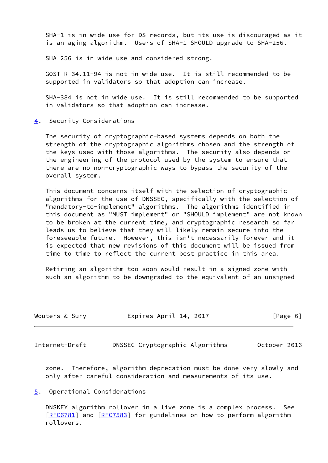SHA-1 is in wide use for DS records, but its use is discouraged as it is an aging algorithm. Users of SHA-1 SHOULD upgrade to SHA-256.

SHA-256 is in wide use and considered strong.

 GOST R 34.11-94 is not in wide use. It is still recommended to be supported in validators so that adoption can increase.

 SHA-384 is not in wide use. It is still recommended to be supported in validators so that adoption can increase.

<span id="page-6-0"></span>[4](#page-6-0). Security Considerations

 The security of cryptographic-based systems depends on both the strength of the cryptographic algorithms chosen and the strength of the keys used with those algorithms. The security also depends on the engineering of the protocol used by the system to ensure that there are no non-cryptographic ways to bypass the security of the overall system.

 This document concerns itself with the selection of cryptographic algorithms for the use of DNSSEC, specifically with the selection of "mandatory-to-implement" algorithms. The algorithms identified in this document as "MUST implement" or "SHOULD implement" are not known to be broken at the current time, and cryptographic research so far leads us to believe that they will likely remain secure into the foreseeable future. However, this isn't necessarily forever and it is expected that new revisions of this document will be issued from time to time to reflect the current best practice in this area.

 Retiring an algorithm too soon would result in a signed zone with such an algorithm to be downgraded to the equivalent of an unsigned

| Wouters & Sury | Expires April 14, 2017 | [Page 6] |
|----------------|------------------------|----------|
|                |                        |          |

<span id="page-6-2"></span>Internet-Draft DNSSEC Cryptographic Algorithms October 2016

 zone. Therefore, algorithm deprecation must be done very slowly and only after careful consideration and measurements of its use.

## <span id="page-6-1"></span>[5](#page-6-1). Operational Considerations

 DNSKEY algorithm rollover in a live zone is a complex process. See [\[RFC6781](https://datatracker.ietf.org/doc/pdf/rfc6781)] and [[RFC7583](https://datatracker.ietf.org/doc/pdf/rfc7583)] for guidelines on how to perform algorithm rollovers.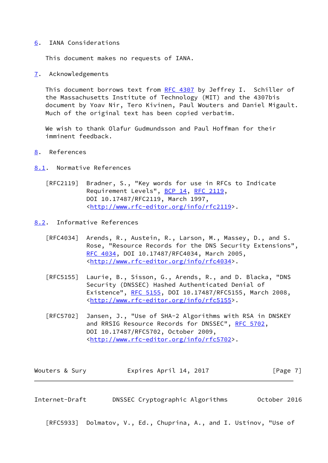#### <span id="page-7-0"></span>[6](#page-7-0). IANA Considerations

This document makes no requests of IANA.

<span id="page-7-1"></span>[7](#page-7-1). Acknowledgements

 This document borrows text from [RFC 4307](https://datatracker.ietf.org/doc/pdf/rfc4307) by Jeffrey I. Schiller of the Massachusetts Institute of Technology (MIT) and the 4307bis document by Yoav Nir, Tero Kivinen, Paul Wouters and Daniel Migault. Much of the original text has been copied verbatim.

 We wish to thank Olafur Gudmundsson and Paul Hoffman for their imminent feedback.

- <span id="page-7-2"></span>[8](#page-7-2). References
- <span id="page-7-3"></span>[8.1](#page-7-3). Normative References
	- [RFC2119] Bradner, S., "Key words for use in RFCs to Indicate Requirement Levels", [BCP 14](https://datatracker.ietf.org/doc/pdf/bcp14), [RFC 2119](https://datatracker.ietf.org/doc/pdf/rfc2119), DOI 10.17487/RFC2119, March 1997, <<http://www.rfc-editor.org/info/rfc2119>>.
- <span id="page-7-4"></span>[8.2](#page-7-4). Informative References
	- [RFC4034] Arends, R., Austein, R., Larson, M., Massey, D., and S. Rose, "Resource Records for the DNS Security Extensions", [RFC 4034,](https://datatracker.ietf.org/doc/pdf/rfc4034) DOI 10.17487/RFC4034, March 2005, <<http://www.rfc-editor.org/info/rfc4034>>.
	- [RFC5155] Laurie, B., Sisson, G., Arends, R., and D. Blacka, "DNS Security (DNSSEC) Hashed Authenticated Denial of Existence", [RFC 5155,](https://datatracker.ietf.org/doc/pdf/rfc5155) DOI 10.17487/RFC5155, March 2008, <<http://www.rfc-editor.org/info/rfc5155>>.
	- [RFC5702] Jansen, J., "Use of SHA-2 Algorithms with RSA in DNSKEY and RRSIG Resource Records for DNSSEC", [RFC 5702,](https://datatracker.ietf.org/doc/pdf/rfc5702) DOI 10.17487/RFC5702, October 2009, <<http://www.rfc-editor.org/info/rfc5702>>.

| Wouters & Sury | Expires April 14, 2017 | [Page 7] |
|----------------|------------------------|----------|
|----------------|------------------------|----------|

Internet-Draft DNSSEC Cryptographic Algorithms October 2016

[RFC5933] Dolmatov, V., Ed., Chuprina, A., and I. Ustinov, "Use of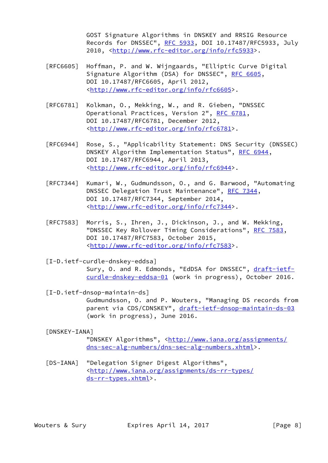GOST Signature Algorithms in DNSKEY and RRSIG Resource Records for DNSSEC", [RFC 5933](https://datatracker.ietf.org/doc/pdf/rfc5933), DOI 10.17487/RFC5933, July 2010, [<http://www.rfc-editor.org/info/rfc5933](http://www.rfc-editor.org/info/rfc5933)>.

- [RFC6605] Hoffman, P. and W. Wijngaards, "Elliptic Curve Digital Signature Algorithm (DSA) for DNSSEC", [RFC 6605](https://datatracker.ietf.org/doc/pdf/rfc6605), DOI 10.17487/RFC6605, April 2012, <<http://www.rfc-editor.org/info/rfc6605>>.
- [RFC6781] Kolkman, O., Mekking, W., and R. Gieben, "DNSSEC Operational Practices, Version 2", [RFC 6781](https://datatracker.ietf.org/doc/pdf/rfc6781), DOI 10.17487/RFC6781, December 2012, <<http://www.rfc-editor.org/info/rfc6781>>.
- [RFC6944] Rose, S., "Applicability Statement: DNS Security (DNSSEC) DNSKEY Algorithm Implementation Status", [RFC 6944,](https://datatracker.ietf.org/doc/pdf/rfc6944) DOI 10.17487/RFC6944, April 2013, <<http://www.rfc-editor.org/info/rfc6944>>.
- [RFC7344] Kumari, W., Gudmundsson, O., and G. Barwood, "Automating DNSSEC Delegation Trust Maintenance", [RFC 7344](https://datatracker.ietf.org/doc/pdf/rfc7344), DOI 10.17487/RFC7344, September 2014, <<http://www.rfc-editor.org/info/rfc7344>>.
- [RFC7583] Morris, S., Ihren, J., Dickinson, J., and W. Mekking, "DNSSEC Key Rollover Timing Considerations", [RFC 7583](https://datatracker.ietf.org/doc/pdf/rfc7583), DOI 10.17487/RFC7583, October 2015, <<http://www.rfc-editor.org/info/rfc7583>>.
- <span id="page-8-0"></span> [I-D.ietf-curdle-dnskey-eddsa] Sury, O. and R. Edmonds, "EdDSA for DNSSEC", [draft-ietf](https://datatracker.ietf.org/doc/pdf/draft-ietf-curdle-dnskey-eddsa-01) [curdle-dnskey-eddsa-01](https://datatracker.ietf.org/doc/pdf/draft-ietf-curdle-dnskey-eddsa-01) (work in progress), October 2016.
- <span id="page-8-3"></span> [I-D.ietf-dnsop-maintain-ds] Gudmundsson, O. and P. Wouters, "Managing DS records from parent via CDS/CDNSKEY", [draft-ietf-dnsop-maintain-ds-03](https://datatracker.ietf.org/doc/pdf/draft-ietf-dnsop-maintain-ds-03) (work in progress), June 2016.
- <span id="page-8-1"></span>[DNSKEY-IANA]

"DNSKEY Algorithms", [<http://www.iana.org/assignments/](http://www.iana.org/assignments/dns-sec-alg-numbers/dns-sec-alg-numbers.xhtml) [dns-sec-alg-numbers/dns-sec-alg-numbers.xhtml>](http://www.iana.org/assignments/dns-sec-alg-numbers/dns-sec-alg-numbers.xhtml).

<span id="page-8-2"></span> [DS-IANA] "Delegation Signer Digest Algorithms", <[http://www.iana.org/assignments/ds-rr-types/](http://www.iana.org/assignments/ds-rr-types/ds-rr-types.xhtml) [ds-rr-types.xhtml>](http://www.iana.org/assignments/ds-rr-types/ds-rr-types.xhtml).